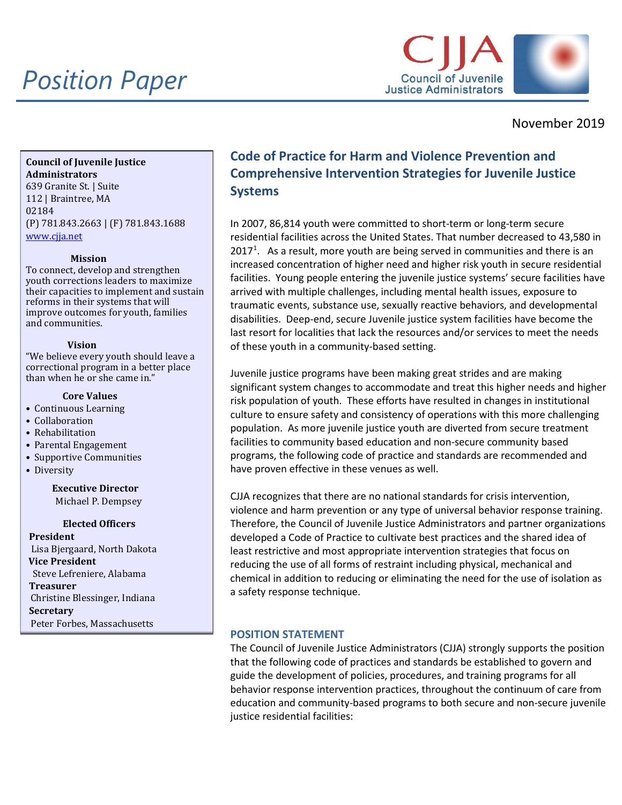## *Position Paper*



November 2019

**Council of Juvenile Justice Administrators** 639 Granite St. | Suite 112 | Braintree, MA 02184 (P) 781.843.2663 | (F) 781.843.1688 [www.cjja.net](http://www.cjja.net/)

### **Mission**

To connect, develop and strengthen youth corrections leaders to maximize their capacities to implement and sustain reforms in their systems that will improve outcomes for youth, families and communities.

### **Vision**

"We believe every youth should leave a correctional program in a better place than when he or she came in."

## **Core Values**

- Continuous Learning
- Collaboration
- Rehabilitation
- Parental Engagement
- Supportive Communities
- Diversity

**Executive Director** Michael P. Dempsey

**Elected Officers**

**President** Lisa Bjergaard, North Dakota **Vice President** Steve Lefreniere, Alabama **Treasurer** Christine Blessinger, Indiana **Secretary** Peter Forbes, Massachusetts

## **Code of Practice for Harm and Violence Prevention and Comprehensive Intervention Strategies for Juvenile Justice Systems**

In 2007, 86,814 youth were committed to short-term or long-term secure residential facilities across the United States. That number decreased to 43,580 in  $2017<sup>1</sup>$  $2017<sup>1</sup>$  $2017<sup>1</sup>$ . As a result, more youth are being served in communities and there is an increased concentration of higher need and higher risk youth in secure residential facilities. Young people entering the juvenile justice systems' secure facilities have arrived with multiple challenges, including mental health issues, exposure to traumatic events, substance use, sexually reactive behaviors, and developmental disabilities. Deep-end, secure Juvenile justice system facilities have become the last resort for localities that lack the resources and/or services to meet the needs of these youth in a community-based setting.

Juvenile justice programs have been making great strides and are making significant system changes to accommodate and treat this higher needs and higher risk population of youth. These efforts have resulted in changes in institutional culture to ensure safety and consistency of operations with this more challenging population. As more juvenile justice youth are diverted from secure treatment facilities to community based education and non-secure community based programs, the following code of practice and standards are recommended and have proven effective in these venues as well.

CJJA recognizes that there are no national standards for crisis intervention, violence and harm prevention or any type of universal behavior response training. Therefore, the Council of Juvenile Justice Administrators and partner organizations developed a Code of Practice to cultivate best practices and the shared idea of least restrictive and most appropriate intervention strategies that focus on reducing the use of all forms of restraint including physical, mechanical and chemical in addition to reducing or eliminating the need for the use of isolation as a safety response technique.

## **POSITION STATEMENT**

The Council of Juvenile Justice Administrators (CJJA) strongly supports the position that the following code of practices and standards be established to govern and guide the development of policies, procedures, and training programs for all behavior response intervention practices, throughout the continuum of care from education and community-based programs to both secure and non-secure juvenile justice residential facilities: